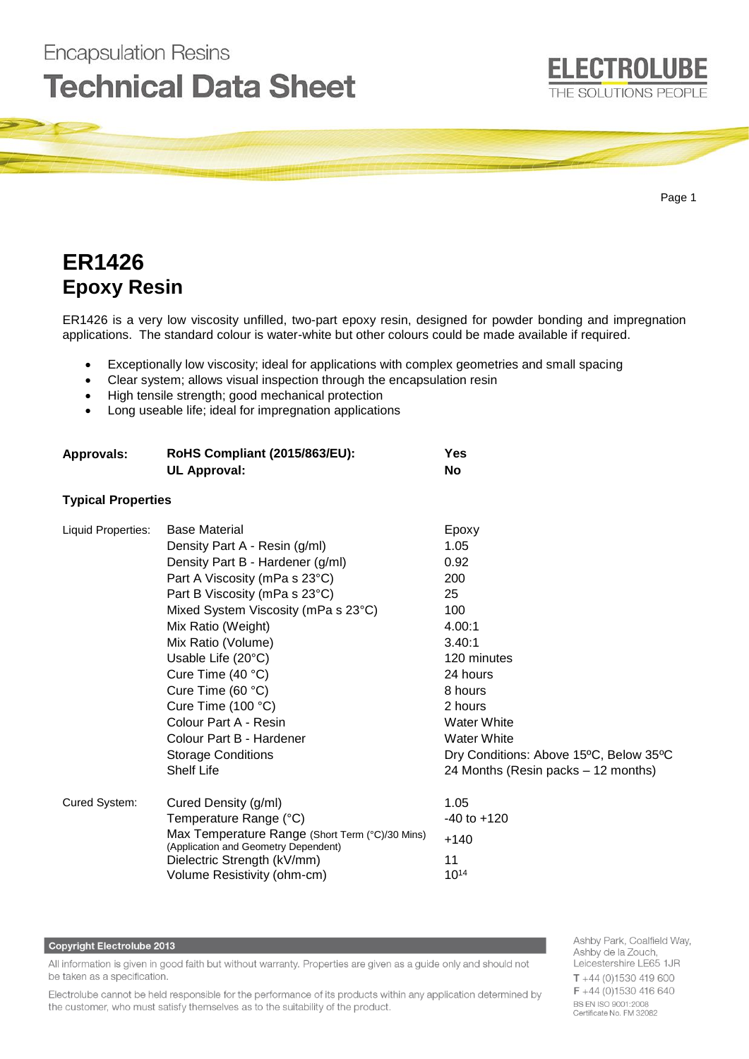

# **ER1426 Epoxy Resin**

**Encapsulation Resins** 

ER1426 is a very low viscosity unfilled, two-part epoxy resin, designed for powder bonding and impregnation applications. The standard colour is water-white but other colours could be made available if required.

- Exceptionally low viscosity; ideal for applications with complex geometries and small spacing
- Clear system; allows visual inspection through the encapsulation resin
- High tensile strength; good mechanical protection
- Long useable life; ideal for impregnation applications

| <b>Approvals:</b>         | <b>RoHS Compliant (2015/863/EU):</b><br><b>UL Approval:</b>                                                                                                                                                                                                                                                                                                                                                              | Yes<br><b>No</b>                                                                                                                                                                                     |
|---------------------------|--------------------------------------------------------------------------------------------------------------------------------------------------------------------------------------------------------------------------------------------------------------------------------------------------------------------------------------------------------------------------------------------------------------------------|------------------------------------------------------------------------------------------------------------------------------------------------------------------------------------------------------|
| <b>Typical Properties</b> |                                                                                                                                                                                                                                                                                                                                                                                                                          |                                                                                                                                                                                                      |
| Liquid Properties:        | <b>Base Material</b><br>Density Part A - Resin (g/ml)<br>Density Part B - Hardener (g/ml)<br>Part A Viscosity (mPa s 23°C)<br>Part B Viscosity (mPa s 23°C)<br>Mixed System Viscosity (mPa s 23°C)<br>Mix Ratio (Weight)<br>Mix Ratio (Volume)<br>Usable Life (20°C)<br>Cure Time $(40 °C)$<br>Cure Time (60 °C)<br>Cure Time (100 °C)<br>Colour Part A - Resin<br>Colour Part B - Hardener<br><b>Storage Conditions</b> | Epoxy<br>1.05<br>0.92<br>200<br>25<br>100<br>4.00:1<br>3.40:1<br>120 minutes<br>24 hours<br>8 hours<br>2 hours<br><b>Water White</b><br><b>Water White</b><br>Dry Conditions: Above 15°C, Below 35°C |
| Cured System:             | <b>Shelf Life</b><br>Cured Density (g/ml)<br>Temperature Range (°C)<br>Max Temperature Range (Short Term (°C)/30 Mins)<br>(Application and Geometry Dependent)<br>Dielectric Strength (kV/mm)<br>Volume Resistivity (ohm-cm)                                                                                                                                                                                             | 24 Months (Resin packs - 12 months)<br>1.05<br>$-40$ to $+120$<br>$+140$<br>11<br>$10^{14}$                                                                                                          |

### **Copyright Electrolube 2013**

All information is given in good faith but without warranty. Properties are given as a guide only and should not be taken as a specification.

Electrolube cannot be held responsible for the performance of its products within any application determined by the customer, who must satisfy themselves as to the suitability of the product.

Ashby Park, Coalfield Way, Ashby de la Zouch, Leicestershire LE65 1JR  $T + 44$  (0)1530 419 600 F +44 (0)1530 416 640 **BS EN ISO 9001:2008** Certificate No. FM 32082

**ELECTROLUBE**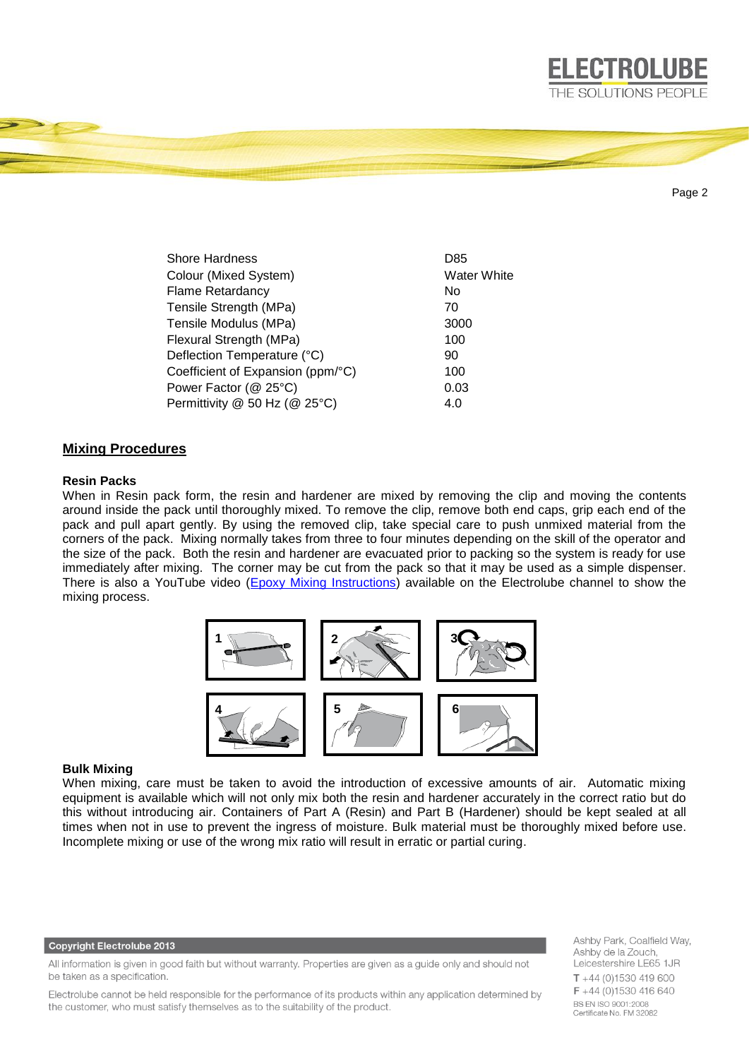

Page 2

| <b>Shore Hardness</b>             | D85                |
|-----------------------------------|--------------------|
| Colour (Mixed System)             | <b>Water White</b> |
| <b>Flame Retardancy</b>           | No                 |
| Tensile Strength (MPa)            | 70                 |
| Tensile Modulus (MPa)             | 3000               |
| Flexural Strength (MPa)           | 100                |
| Deflection Temperature (°C)       | 90                 |
| Coefficient of Expansion (ppm/°C) | 100                |
| Power Factor (@ 25°C)             | 0.03               |
| Permittivity @ 50 Hz (@ 25°C)     | 4.0                |

# **Mixing Procedures**

## **Resin Packs**

When in Resin pack form, the resin and hardener are mixed by removing the clip and moving the contents around inside the pack until thoroughly mixed. To remove the clip, remove both end caps, grip each end of the pack and pull apart gently. By using the removed clip, take special care to push unmixed material from the corners of the pack. Mixing normally takes from three to four minutes depending on the skill of the operator and the size of the pack. Both the resin and hardener are evacuated prior to packing so the system is ready for use immediately after mixing. The corner may be cut from the pack so that it may be used as a simple dispenser. There is also a YouTube video [\(Epoxy Mixing Instructions\)](https://www.youtube.com/watch?v=EEoWffhmjQw) available on the Electrolube channel to show the mixing process.



# **Bulk Mixing**

When mixing, care must be taken to avoid the introduction of excessive amounts of air. Automatic mixing equipment is available which will not only mix both the resin and hardener accurately in the correct ratio but do this without introducing air. Containers of Part A (Resin) and Part B (Hardener) should be kept sealed at all times when not in use to prevent the ingress of moisture. Bulk material must be thoroughly mixed before use. Incomplete mixing or use of the wrong mix ratio will result in erratic or partial curing.

### **Copyright Electrolube 2013**

All information is given in good faith but without warranty. Properties are given as a guide only and should not be taken as a specification.

Electrolube cannot be held responsible for the performance of its products within any application determined by the customer, who must satisfy themselves as to the suitability of the product.

Ashby Park, Coalfield Way, Ashby de la Zouch, Leicestershire LE65 1JR  $T + 44$  (0)1530 419 600 F +44 (0)1530 416 640 **BS EN ISO 9001:2008** Certificate No. FM 32082